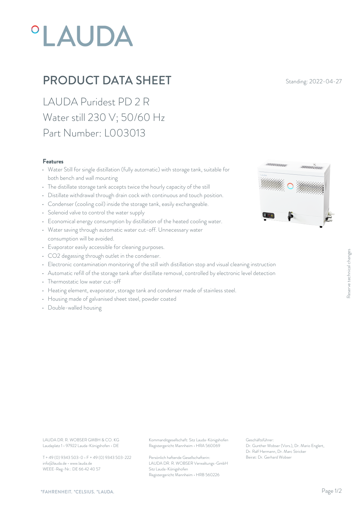# **°LAUDA**

## PRODUCT DATA SHEET Standing: 2022-04-27

LAUDA Puridest PD 2 R Water still 230 V; 50/60 Hz Part Number: L003013

#### Features

- Water Still for single distillation (fully automatic) with storage tank, suitable for both bench and wall mounting
- The distillate storage tank accepts twice the hourly capacity of the still
- Distillate withdrawal through drain cock with continuous and touch position.
- Condenser (cooling coil) inside the storage tank, easily exchangeable.
- Solenoid valve to control the water supply
- Economical energy consumption by distillation of the heated cooling water.
- Water saving through automatic water cut-off. Unnecessary water consumption will be avoided.
- Evaporator easily accessible for cleaning purposes.
- CO2 degassing through outlet in the condenser.
- CO2 degassing through outlet in the condenser.<br>• Electronic contamination monitoring of the still with distillation stop and visual cleaning instruction<br>• Automatic refill of the storage tank after distillate removal, co
- Automatic refill of the storage tank after distillate removal, controlled by electronic level detection
- Thermostatic low water cut-off
- Heating element, evaporator, storage tank and condenser made of stainless steel.
- Housing made of galvanised sheet steel, powder coated
- Double-walled housing



Laudaplatz 1 • 97922 Lauda-Königshofen • DE

T + 49 (0) 9343 503-0 • F + 49 (0) 9343 503-222 info@lauda.de • www.lauda.de WEEE-Reg-Nr.: DE 66 42 40 57

LAUDA DR. R. WOBSER GMBH & CO. KG Kommanditgesellschaft: Sitz Lauda-Königshofen Geschäftsführer: Registergericht Mannheim • HRA 560069

> Persönlich haftende Gesellschafterin: Beirat: Dr. Gerhard Wobse LAUDA DR. R. WOBSER Verwaltungs-GmbH Sitz Lauda-Königshofen Registergericht Mannheim • HRB 560226

Geschäftsführer: Dr. Gunther Wobser (Vors.), Dr. Mario Englert, Dr. Ralf Hermann, Dr. Marc Stricker Beinstruction<br>
Well detection<br>
Dr. Gunther Wobser (Vors.), Dr. Mario Englert,<br>
Dr. Gerhard Wobser<br>
Dr. Relf Hermann, Dr. Marc Stricker<br>
Beirat: Dr. Gerhard Wobser